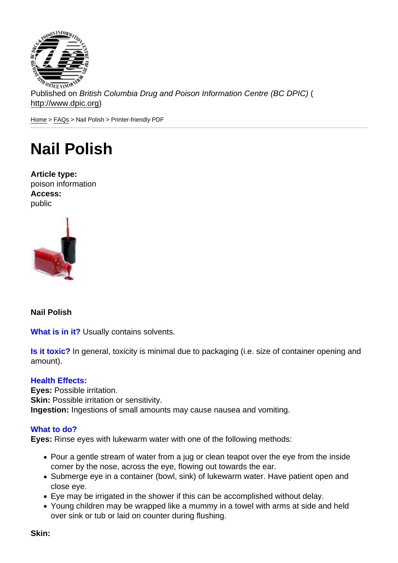Published on British Columbia Drug and Poison Information Centre (BC DPIC) ( http://www.dpic.org)

Home > FAQs > Nail Polish > Printer-friendly PDF

## [Na](http://www.dpic.org/)[il P](http://www.dpic.org/faq)olish

Article type: poison information Access: public

Nail Polish

What is in it? Usually contains solvents.

Is it toxic? In general, toxicity is minimal due to packaging (i.e. size of container opening and amount).

## Health Effects:

Eyes: Possible irritation. Skin: Possible irritation or sensitivity. Ingestion: Ingestions of small amounts may cause nausea and vomiting.

## What to do?

Eyes: Rinse eyes with lukewarm water with one of the following methods:

- Pour a gentle stream of water from a jug or clean teapot over the eye from the inside corner by the nose, across the eye, flowing out towards the ear.
- Submerge eye in a container (bowl, sink) of lukewarm water. Have patient open and close eye.
- Eye may be irrigated in the shower if this can be accomplished without delay.
- Young children may be wrapped like a mummy in a towel with arms at side and held over sink or tub or laid on counter during flushing.

Skin: